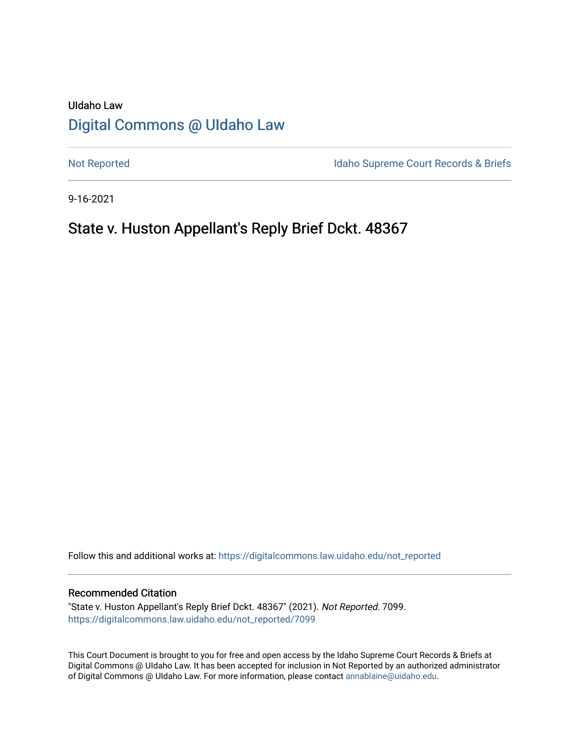# UIdaho Law [Digital Commons @ UIdaho Law](https://digitalcommons.law.uidaho.edu/)

[Not Reported](https://digitalcommons.law.uidaho.edu/not_reported) **Idaho Supreme Court Records & Briefs** 

9-16-2021

## State v. Huston Appellant's Reply Brief Dckt. 48367

Follow this and additional works at: [https://digitalcommons.law.uidaho.edu/not\\_reported](https://digitalcommons.law.uidaho.edu/not_reported?utm_source=digitalcommons.law.uidaho.edu%2Fnot_reported%2F7099&utm_medium=PDF&utm_campaign=PDFCoverPages) 

#### Recommended Citation

"State v. Huston Appellant's Reply Brief Dckt. 48367" (2021). Not Reported. 7099. [https://digitalcommons.law.uidaho.edu/not\\_reported/7099](https://digitalcommons.law.uidaho.edu/not_reported/7099?utm_source=digitalcommons.law.uidaho.edu%2Fnot_reported%2F7099&utm_medium=PDF&utm_campaign=PDFCoverPages)

This Court Document is brought to you for free and open access by the Idaho Supreme Court Records & Briefs at Digital Commons @ UIdaho Law. It has been accepted for inclusion in Not Reported by an authorized administrator of Digital Commons @ UIdaho Law. For more information, please contact [annablaine@uidaho.edu](mailto:annablaine@uidaho.edu).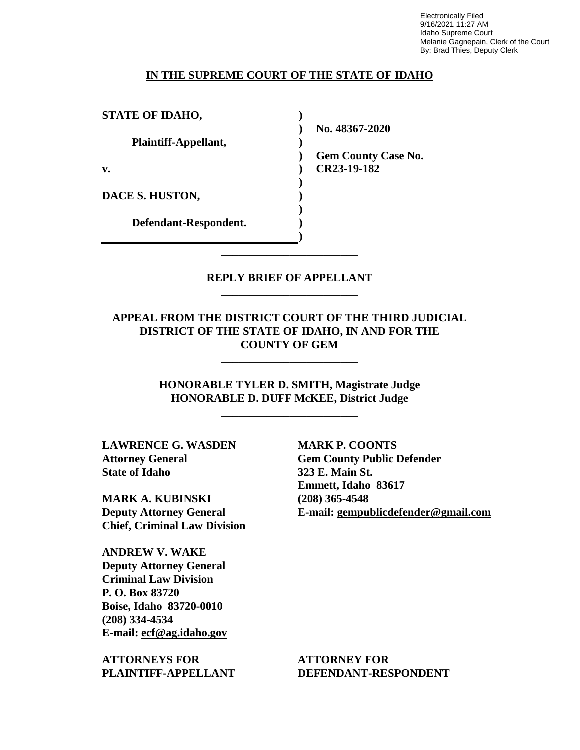Electronically Filed 9/16/2021 11:27 AM Idaho Supreme Court Melanie Gagnepain, Clerk of the Court By: Brad Thies, Deputy Clerk

### **IN THE SUPREME COURT OF THE STATE OF IDAHO**

| <b>STATE OF IDAHO,</b> |                            |
|------------------------|----------------------------|
|                        | No. 48367-2020             |
| Plaintiff-Appellant,   |                            |
|                        | <b>Gem County Case No.</b> |
| $\mathbf{v}$ .         | CR23-19-182                |
|                        |                            |
| DACE S. HUSTON,        |                            |
|                        |                            |
| Defendant-Respondent.  |                            |
|                        |                            |

### **REPLY BRIEF OF APPELLANT** \_\_\_\_\_\_\_\_\_\_\_\_\_\_\_\_\_\_\_\_\_\_\_\_

\_\_\_\_\_\_\_\_\_\_\_\_\_\_\_\_\_\_\_\_\_\_\_\_

### **APPEAL FROM THE DISTRICT COURT OF THE THIRD JUDICIAL DISTRICT OF THE STATE OF IDAHO, IN AND FOR THE COUNTY OF GEM**

\_\_\_\_\_\_\_\_\_\_\_\_\_\_\_\_\_\_\_\_\_\_\_\_

**HONORABLE TYLER D. SMITH, Magistrate Judge HONORABLE D. DUFF McKEE, District Judge**

\_\_\_\_\_\_\_\_\_\_\_\_\_\_\_\_\_\_\_\_\_\_\_\_

**LAWRENCE G. WASDEN Attorney General State of Idaho**

**MARK A. KUBINSKI Deputy Attorney General Chief, Criminal Law Division**

**ANDREW V. WAKE Deputy Attorney General Criminal Law Division P. O. Box 83720 Boise, Idaho 83720-0010 (208) 334-4534 E-mail: ecf@ag.idaho.gov** 

**ATTORNEYS FOR PLAINTIFF-APPELLANT** **MARK P. COONTS Gem County Public Defender 323 E. Main St. Emmett, Idaho 83617 (208) 365-4548 E-mail: gempublicdefender@gmail.com**

**ATTORNEY FOR DEFENDANT-RESPONDENT**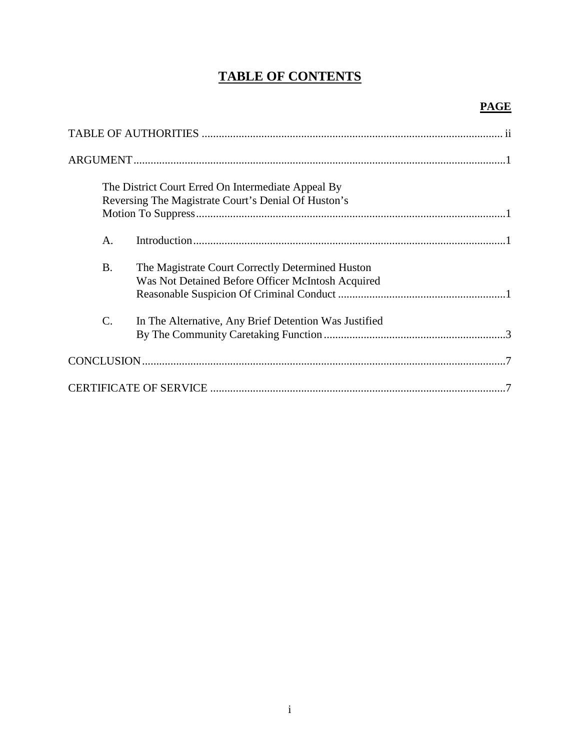# **TABLE OF CONTENTS**

## **PAGE**

| The District Court Erred On Intermediate Appeal By<br>Reversing The Magistrate Court's Denial Of Huston's          |  |
|--------------------------------------------------------------------------------------------------------------------|--|
|                                                                                                                    |  |
| A.                                                                                                                 |  |
| <b>B.</b><br>The Magistrate Court Correctly Determined Huston<br>Was Not Detained Before Officer McIntosh Acquired |  |
| C.<br>In The Alternative, Any Brief Detention Was Justified                                                        |  |
|                                                                                                                    |  |
|                                                                                                                    |  |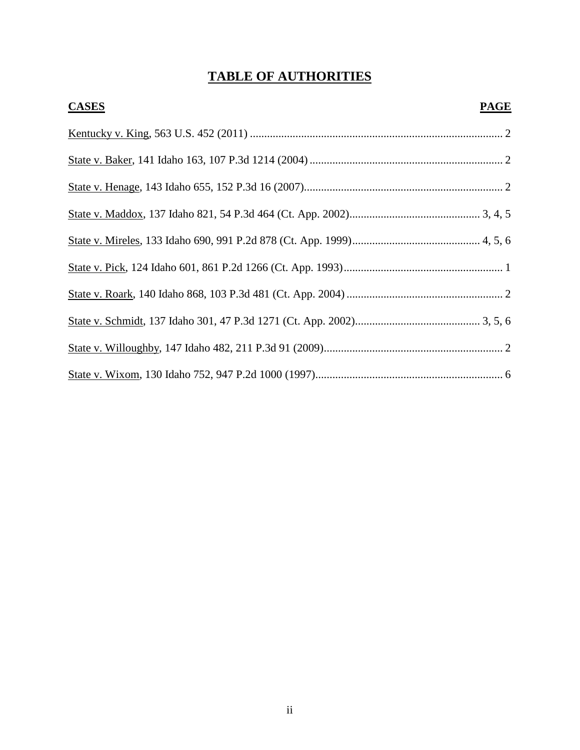# **TABLE OF AUTHORITIES**

| <b>CASES</b> | <b>PAGE</b> |
|--------------|-------------|
|              |             |
|              |             |
|              |             |
|              |             |
|              |             |
|              |             |
|              |             |
|              |             |
|              |             |
|              |             |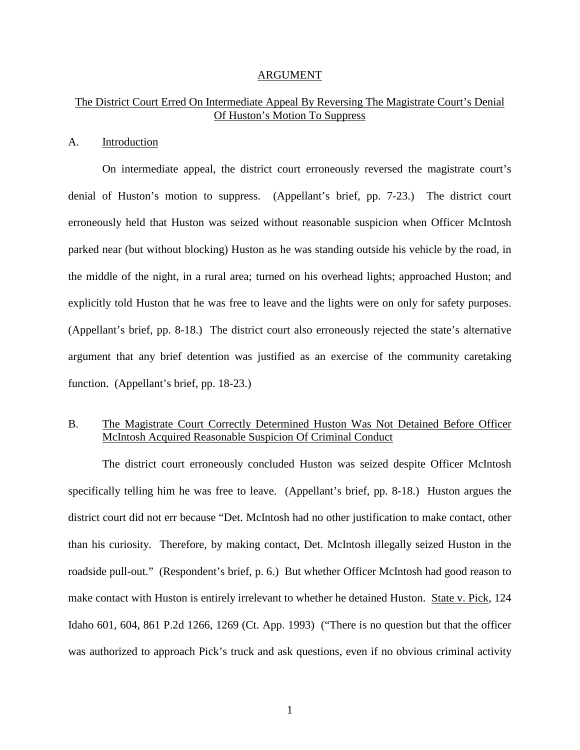#### ARGUMENT

### The District Court Erred On Intermediate Appeal By Reversing The Magistrate Court's Denial Of Huston's Motion To Suppress

#### A. Introduction

On intermediate appeal, the district court erroneously reversed the magistrate court's denial of Huston's motion to suppress. (Appellant's brief, pp. 7-23.) The district court erroneously held that Huston was seized without reasonable suspicion when Officer McIntosh parked near (but without blocking) Huston as he was standing outside his vehicle by the road, in the middle of the night, in a rural area; turned on his overhead lights; approached Huston; and explicitly told Huston that he was free to leave and the lights were on only for safety purposes. (Appellant's brief, pp. 8-18.) The district court also erroneously rejected the state's alternative argument that any brief detention was justified as an exercise of the community caretaking function. (Appellant's brief, pp. 18-23.)

### B. The Magistrate Court Correctly Determined Huston Was Not Detained Before Officer McIntosh Acquired Reasonable Suspicion Of Criminal Conduct

The district court erroneously concluded Huston was seized despite Officer McIntosh specifically telling him he was free to leave. (Appellant's brief, pp. 8-18.) Huston argues the district court did not err because "Det. McIntosh had no other justification to make contact, other than his curiosity. Therefore, by making contact, Det. McIntosh illegally seized Huston in the roadside pull-out." (Respondent's brief, p. 6.) But whether Officer McIntosh had good reason to make contact with Huston is entirely irrelevant to whether he detained Huston. State v. Pick, 124 Idaho 601, 604, 861 P.2d 1266, 1269 (Ct. App. 1993) ("There is no question but that the officer was authorized to approach Pick's truck and ask questions, even if no obvious criminal activity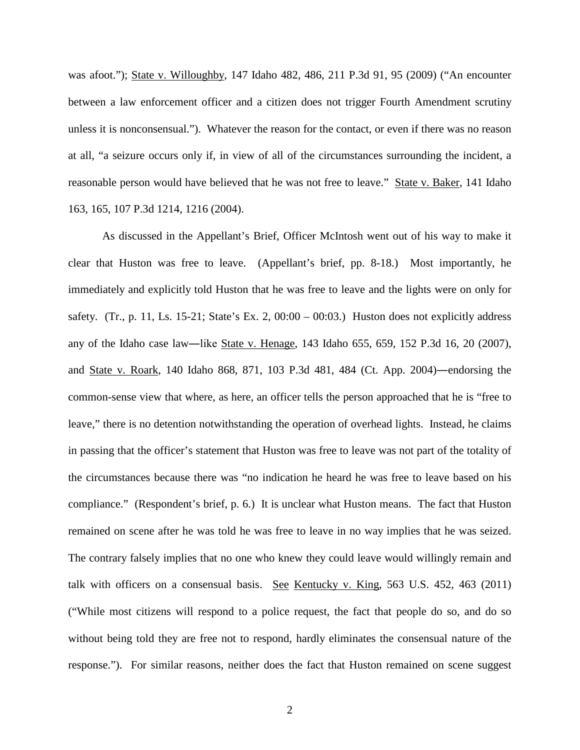was afoot."); State v. Willoughby, 147 Idaho 482, 486, 211 P.3d 91, 95 (2009) ("An encounter between a law enforcement officer and a citizen does not trigger Fourth Amendment scrutiny unless it is nonconsensual."). Whatever the reason for the contact, or even if there was no reason at all, "a seizure occurs only if, in view of all of the circumstances surrounding the incident, a reasonable person would have believed that he was not free to leave." State v. Baker, 141 Idaho 163, 165, 107 P.3d 1214, 1216 (2004).

As discussed in the Appellant's Brief, Officer McIntosh went out of his way to make it clear that Huston was free to leave. (Appellant's brief, pp. 8-18.) Most importantly, he immediately and explicitly told Huston that he was free to leave and the lights were on only for safety. (Tr., p. 11, Ls. 15-21; State's Ex. 2,  $00:00 - 00:03$ .) Huston does not explicitly address any of the Idaho case law―like State v. Henage, 143 Idaho 655, 659, 152 P.3d 16, 20 (2007), and State v. Roark, 140 Idaho 868, 871, 103 P.3d 481, 484 (Ct. App. 2004)―endorsing the common-sense view that where, as here, an officer tells the person approached that he is "free to leave," there is no detention notwithstanding the operation of overhead lights. Instead, he claims in passing that the officer's statement that Huston was free to leave was not part of the totality of the circumstances because there was "no indication he heard he was free to leave based on his compliance." (Respondent's brief, p. 6.) It is unclear what Huston means. The fact that Huston remained on scene after he was told he was free to leave in no way implies that he was seized. The contrary falsely implies that no one who knew they could leave would willingly remain and talk with officers on a consensual basis. See Kentucky v. King, 563 U.S. 452, 463 (2011) ("While most citizens will respond to a police request, the fact that people do so, and do so without being told they are free not to respond, hardly eliminates the consensual nature of the response."). For similar reasons, neither does the fact that Huston remained on scene suggest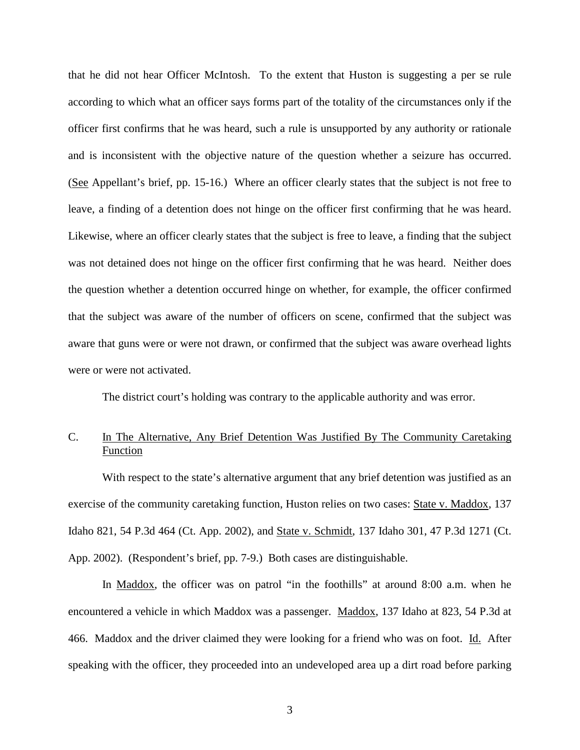that he did not hear Officer McIntosh. To the extent that Huston is suggesting a per se rule according to which what an officer says forms part of the totality of the circumstances only if the officer first confirms that he was heard, such a rule is unsupported by any authority or rationale and is inconsistent with the objective nature of the question whether a seizure has occurred. (See Appellant's brief, pp. 15-16.) Where an officer clearly states that the subject is not free to leave, a finding of a detention does not hinge on the officer first confirming that he was heard. Likewise, where an officer clearly states that the subject is free to leave, a finding that the subject was not detained does not hinge on the officer first confirming that he was heard. Neither does the question whether a detention occurred hinge on whether, for example, the officer confirmed that the subject was aware of the number of officers on scene, confirmed that the subject was aware that guns were or were not drawn, or confirmed that the subject was aware overhead lights were or were not activated.

The district court's holding was contrary to the applicable authority and was error.

### C. In The Alternative, Any Brief Detention Was Justified By The Community Caretaking Function

With respect to the state's alternative argument that any brief detention was justified as an exercise of the community caretaking function, Huston relies on two cases: State v. Maddox, 137 Idaho 821, 54 P.3d 464 (Ct. App. 2002), and State v. Schmidt, 137 Idaho 301, 47 P.3d 1271 (Ct. App. 2002). (Respondent's brief, pp. 7-9.) Both cases are distinguishable.

In Maddox, the officer was on patrol "in the foothills" at around 8:00 a.m. when he encountered a vehicle in which Maddox was a passenger. Maddox, 137 Idaho at 823, 54 P.3d at 466. Maddox and the driver claimed they were looking for a friend who was on foot. Id. After speaking with the officer, they proceeded into an undeveloped area up a dirt road before parking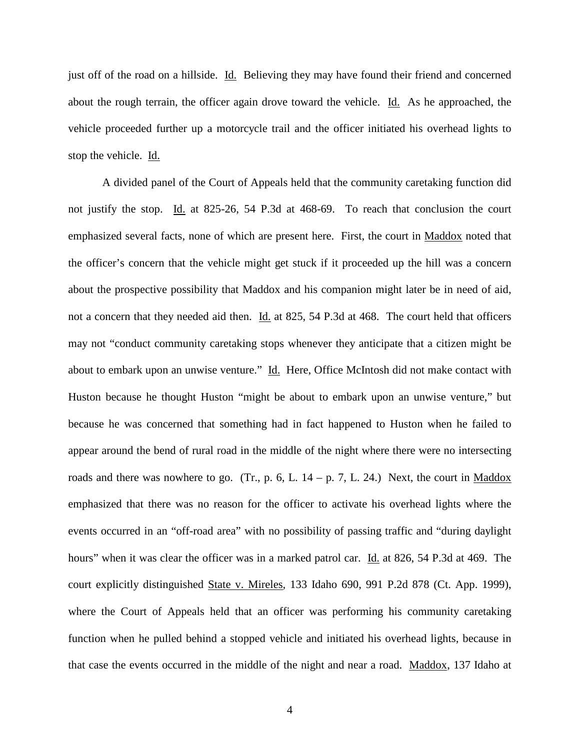just off of the road on a hillside. Id. Believing they may have found their friend and concerned about the rough terrain, the officer again drove toward the vehicle. Id. As he approached, the vehicle proceeded further up a motorcycle trail and the officer initiated his overhead lights to stop the vehicle. Id.

A divided panel of the Court of Appeals held that the community caretaking function did not justify the stop. Id. at 825-26, 54 P.3d at 468-69. To reach that conclusion the court emphasized several facts, none of which are present here. First, the court in Maddox noted that the officer's concern that the vehicle might get stuck if it proceeded up the hill was a concern about the prospective possibility that Maddox and his companion might later be in need of aid, not a concern that they needed aid then. Id. at 825, 54 P.3d at 468. The court held that officers may not "conduct community caretaking stops whenever they anticipate that a citizen might be about to embark upon an unwise venture." Id. Here, Office McIntosh did not make contact with Huston because he thought Huston "might be about to embark upon an unwise venture," but because he was concerned that something had in fact happened to Huston when he failed to appear around the bend of rural road in the middle of the night where there were no intersecting roads and there was nowhere to go. (Tr., p. 6, L.  $14 - p$ , 7, L. 24.) Next, the court in Maddox emphasized that there was no reason for the officer to activate his overhead lights where the events occurred in an "off-road area" with no possibility of passing traffic and "during daylight hours" when it was clear the officer was in a marked patrol car. Id. at 826, 54 P.3d at 469. The court explicitly distinguished State v. Mireles, 133 Idaho 690, 991 P.2d 878 (Ct. App. 1999), where the Court of Appeals held that an officer was performing his community caretaking function when he pulled behind a stopped vehicle and initiated his overhead lights, because in that case the events occurred in the middle of the night and near a road. Maddox, 137 Idaho at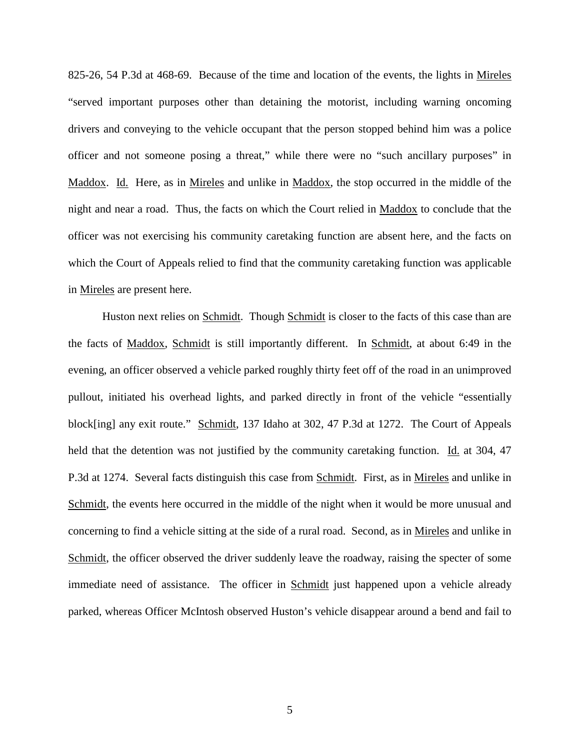825-26, 54 P.3d at 468-69. Because of the time and location of the events, the lights in Mireles "served important purposes other than detaining the motorist, including warning oncoming drivers and conveying to the vehicle occupant that the person stopped behind him was a police officer and not someone posing a threat," while there were no "such ancillary purposes" in Maddox. Id. Here, as in Mireles and unlike in Maddox, the stop occurred in the middle of the night and near a road. Thus, the facts on which the Court relied in Maddox to conclude that the officer was not exercising his community caretaking function are absent here, and the facts on which the Court of Appeals relied to find that the community caretaking function was applicable in Mireles are present here.

Huston next relies on Schmidt. Though Schmidt is closer to the facts of this case than are the facts of Maddox, Schmidt is still importantly different. In Schmidt, at about 6:49 in the evening, an officer observed a vehicle parked roughly thirty feet off of the road in an unimproved pullout, initiated his overhead lights, and parked directly in front of the vehicle "essentially block[ing] any exit route." Schmidt, 137 Idaho at 302, 47 P.3d at 1272. The Court of Appeals held that the detention was not justified by the community caretaking function. Id. at 304, 47 P.3d at 1274. Several facts distinguish this case from Schmidt. First, as in Mireles and unlike in Schmidt, the events here occurred in the middle of the night when it would be more unusual and concerning to find a vehicle sitting at the side of a rural road. Second, as in Mireles and unlike in Schmidt, the officer observed the driver suddenly leave the roadway, raising the specter of some immediate need of assistance. The officer in Schmidt just happened upon a vehicle already parked, whereas Officer McIntosh observed Huston's vehicle disappear around a bend and fail to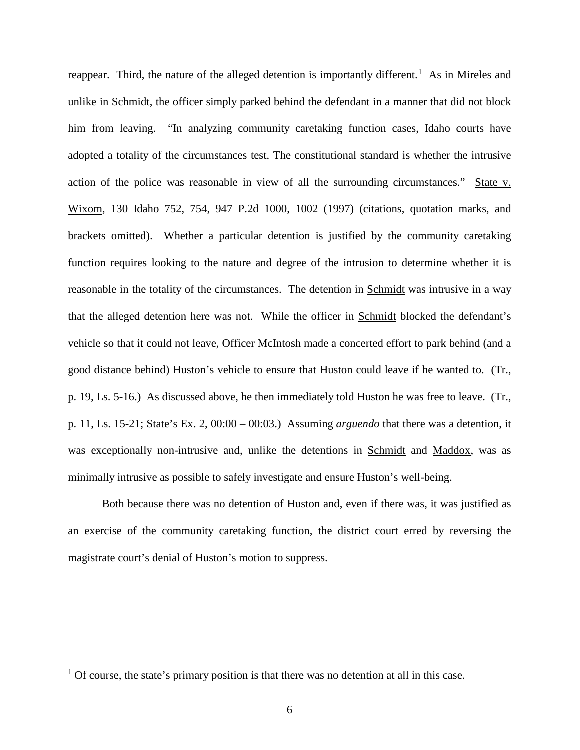reappear. Third, the nature of the alleged detention is importantly different.<sup>[1](#page-9-0)</sup> As in Mireles and unlike in Schmidt, the officer simply parked behind the defendant in a manner that did not block him from leaving. "In analyzing community caretaking function cases, Idaho courts have adopted a totality of the circumstances test. The constitutional standard is whether the intrusive action of the police was reasonable in view of all the surrounding circumstances." State v. Wixom, 130 Idaho 752, 754, 947 P.2d 1000, 1002 (1997) (citations, quotation marks, and brackets omitted). Whether a particular detention is justified by the community caretaking function requires looking to the nature and degree of the intrusion to determine whether it is reasonable in the totality of the circumstances. The detention in Schmidt was intrusive in a way that the alleged detention here was not. While the officer in Schmidt blocked the defendant's vehicle so that it could not leave, Officer McIntosh made a concerted effort to park behind (and a good distance behind) Huston's vehicle to ensure that Huston could leave if he wanted to. (Tr., p. 19, Ls. 5-16.) As discussed above, he then immediately told Huston he was free to leave. (Tr., p. 11, Ls. 15-21; State's Ex. 2, 00:00 – 00:03.) Assuming *arguendo* that there was a detention, it was exceptionally non-intrusive and, unlike the detentions in Schmidt and Maddox, was as minimally intrusive as possible to safely investigate and ensure Huston's well-being.

Both because there was no detention of Huston and, even if there was, it was justified as an exercise of the community caretaking function, the district court erred by reversing the magistrate court's denial of Huston's motion to suppress.

 $\overline{a}$ 

<span id="page-9-0"></span> $<sup>1</sup>$  Of course, the state's primary position is that there was no detention at all in this case.</sup>